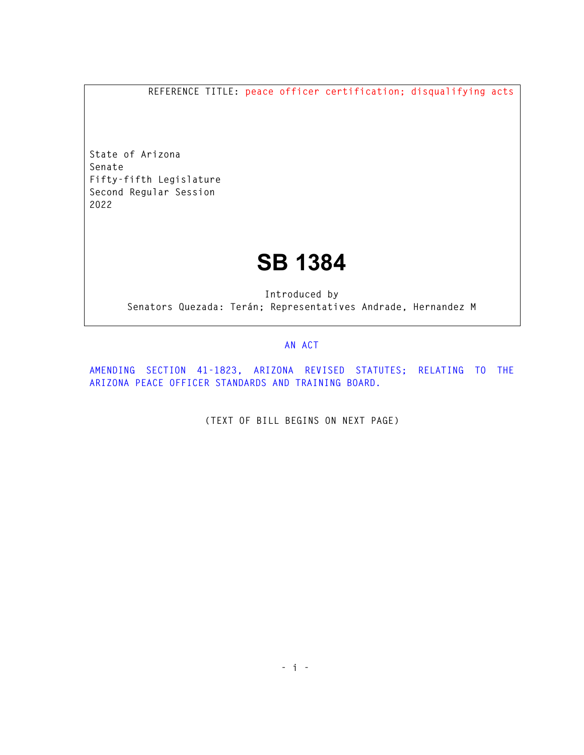**REFERENCE TITLE: peace officer certification; disqualifying acts** 

**State of Arizona Senate Fifty-fifth Legislature Second Regular Session 2022** 

## **SB 1384**

**Introduced by Senators Quezada: Terán; Representatives Andrade, Hernandez M** 

## **AN ACT**

**AMENDING SECTION 41-1823, ARIZONA REVISED STATUTES; RELATING TO THE ARIZONA PEACE OFFICER STANDARDS AND TRAINING BOARD.** 

**(TEXT OF BILL BEGINS ON NEXT PAGE)**